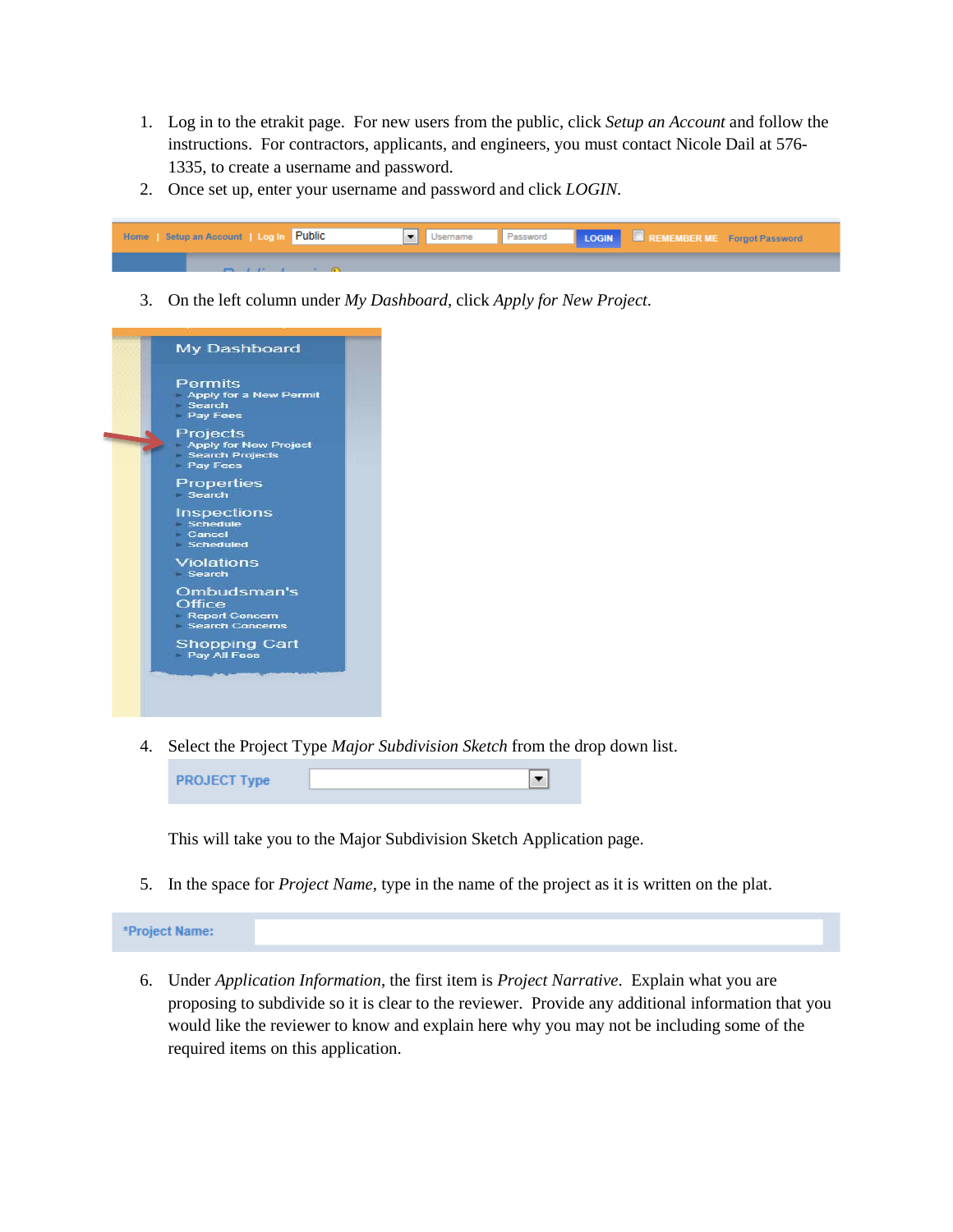- 1. Log in to the etrakit page. For new users from the public, click *Setup an Account* and follow the instructions. For contractors, applicants, and engineers, you must contact Nicole Dail at 576- 1335, to create a username and password.
- 2. Once set up, enter your username and password and click *LOGIN*.



3. On the left column under *My Dashboard*, click *Apply for New Project*.



4. Select the Project Type *Major Subdivision Sketch* from the drop down list.



This will take you to the Major Subdivision Sketch Application page.

5. In the space for *Project Name*, type in the name of the project as it is written on the plat.

\*Project Name:

6. Under *Application Information*, the first item is *Project Narrative*. Explain what you are proposing to subdivide so it is clear to the reviewer. Provide any additional information that you would like the reviewer to know and explain here why you may not be including some of the required items on this application.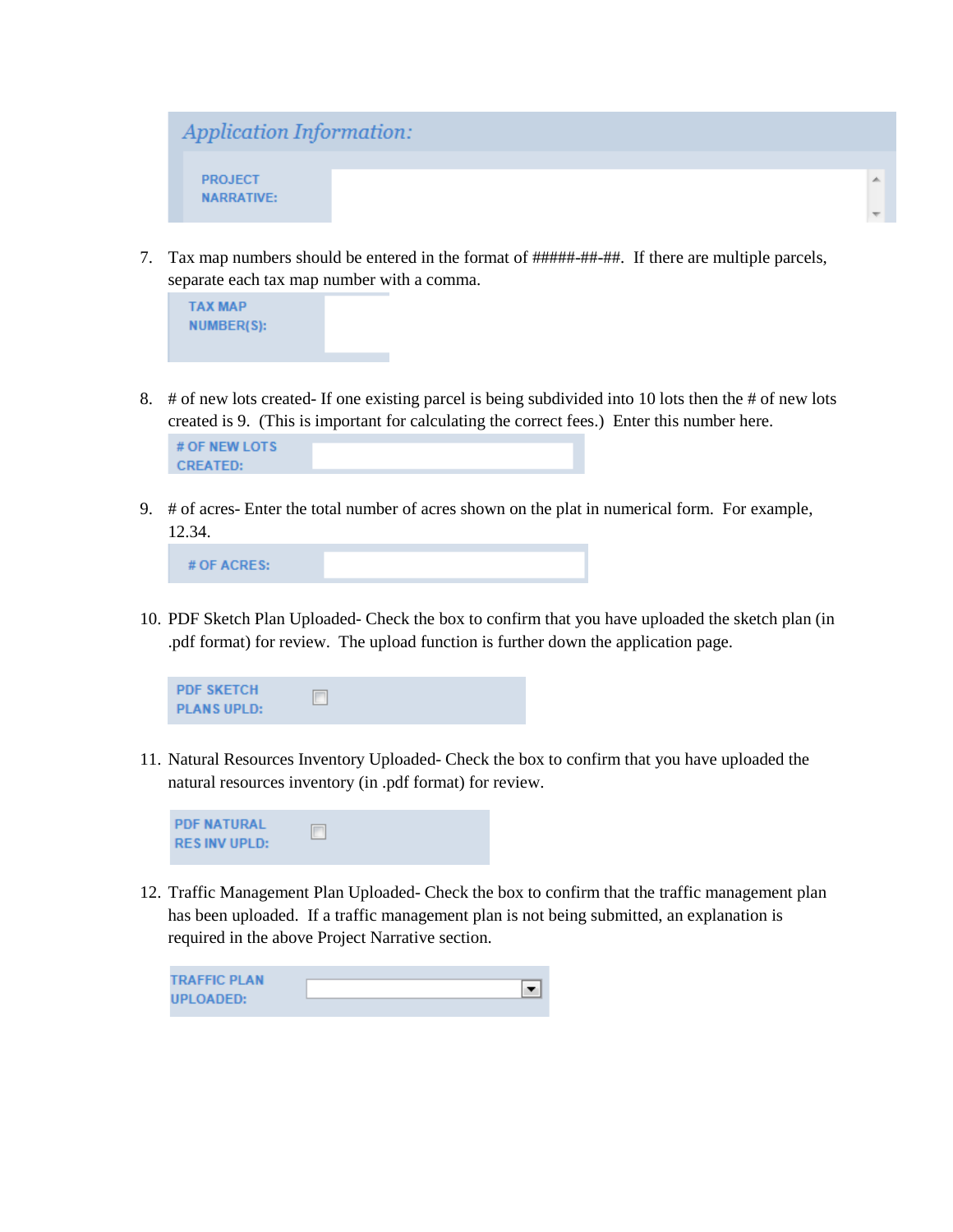

7. Tax map numbers should be entered in the format of #####-##-##. If there are multiple parcels, separate each tax map number with a comma.



8. # of new lots created- If one existing parcel is being subdivided into 10 lots then the # of new lots created is 9. (This is important for calculating the correct fees.) Enter this number here.

9. # of acres- Enter the total number of acres shown on the plat in numerical form. For example, 12.34.

# OF ACRES:

10. PDF Sketch Plan Uploaded- Check the box to confirm that you have uploaded the sketch plan (in .pdf format) for review. The upload function is further down the application page.



11. Natural Resources Inventory Uploaded- Check the box to confirm that you have uploaded the natural resources inventory (in .pdf format) for review.



12. Traffic Management Plan Uploaded- Check the box to confirm that the traffic management plan has been uploaded. If a traffic management plan is not being submitted, an explanation is required in the above Project Narrative section.

| <b>TRAFFIC PLAN</b> |  |
|---------------------|--|
| <b>UPLOADED:</b>    |  |
|                     |  |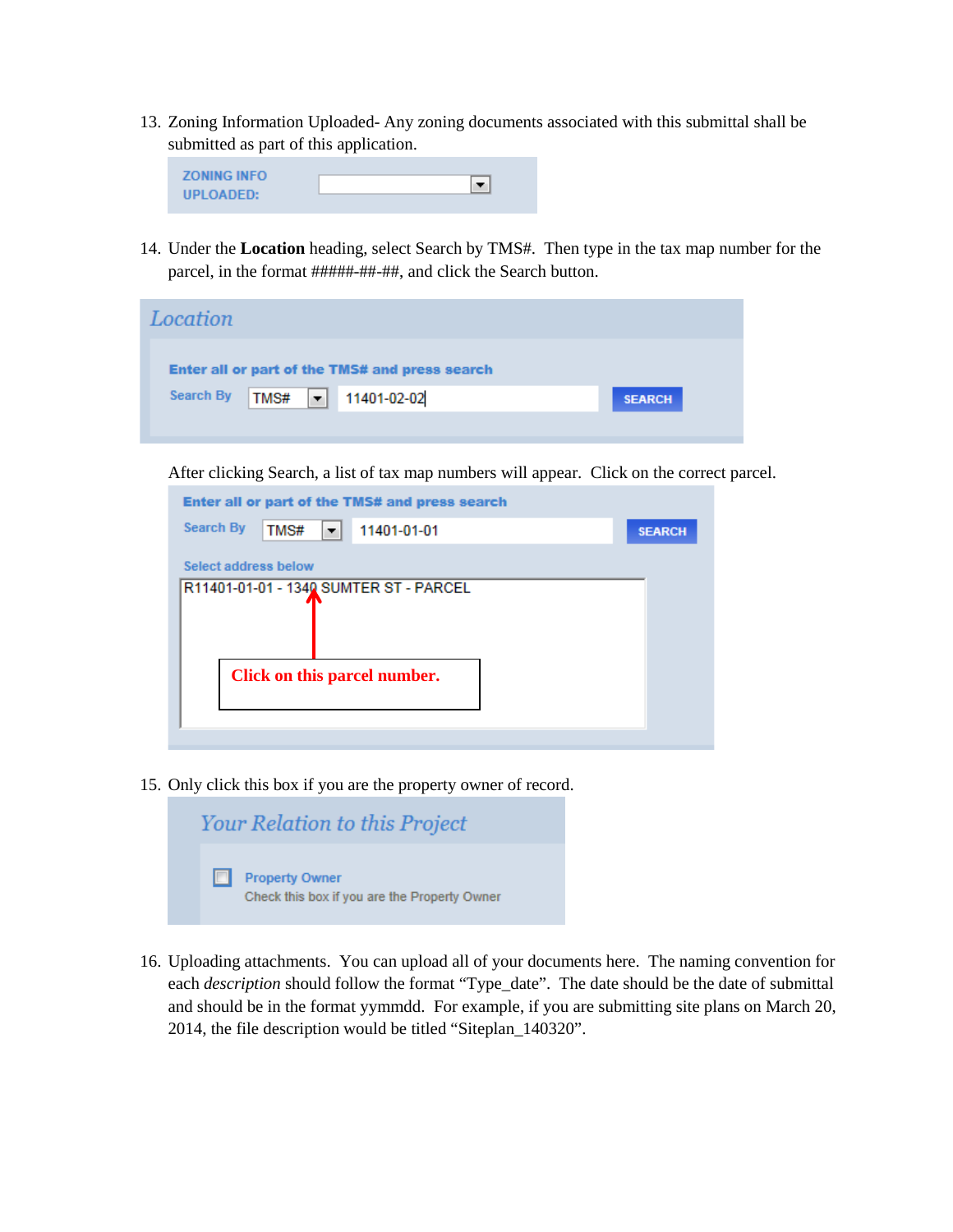13. Zoning Information Uploaded- Any zoning documents associated with this submittal shall be submitted as part of this application.



14. Under the **Location** heading, select Search by TMS#. Then type in the tax map number for the parcel, in the format #####-##-##, and click the Search button.

| Location                                       |                            |               |
|------------------------------------------------|----------------------------|---------------|
| Enter all or part of the TMS# and press search |                            |               |
| <b>Search By</b>                               | TMS# $\bullet$ 11401-02-02 | <b>SEARCH</b> |
|                                                |                            |               |

After clicking Search, a list of tax map numbers will appear. Click on the correct parcel.

| Enter all or part of the TMS# and press search |               |
|------------------------------------------------|---------------|
| <b>Search By</b><br>TMS#<br>11401-01-01<br>▼   | <b>SEARCH</b> |
| Select address below                           |               |
| R11401-01-01 - 1340 SUMTER ST - PARCEL         |               |
|                                                |               |
|                                                |               |
| Click on this parcel number.                   |               |
|                                                |               |
|                                                |               |

15. Only click this box if you are the property owner of record.

| <b>Your Relation to this Project</b>                                  |
|-----------------------------------------------------------------------|
| <b>Property Owner</b><br>Check this box if you are the Property Owner |

16. Uploading attachments. You can upload all of your documents here. The naming convention for each *description* should follow the format "Type\_date". The date should be the date of submittal and should be in the format yymmdd. For example, if you are submitting site plans on March 20, 2014, the file description would be titled "Siteplan\_140320".